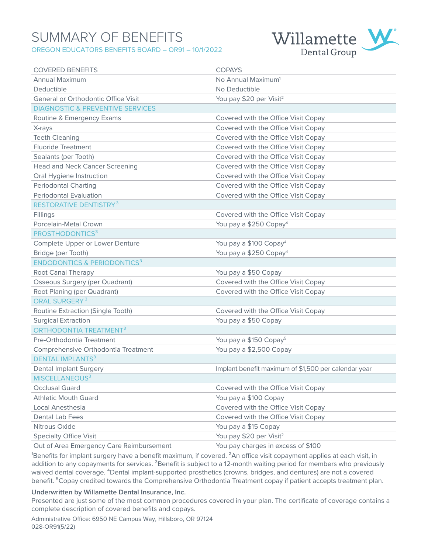## SUMMARY OF BENEFITS OREGON EDUCATORS BENEFITS BOARD – OR91 – 10/1/2022



| <b>COVERED BENEFITS</b>                     | <b>COPAYS</b>                                        |
|---------------------------------------------|------------------------------------------------------|
| Annual Maximum                              | No Annual Maximum <sup>1</sup>                       |
| Deductible                                  | No Deductible                                        |
| <b>General or Orthodontic Office Visit</b>  | You pay \$20 per Visit <sup>2</sup>                  |
| <b>DIAGNOSTIC &amp; PREVENTIVE SERVICES</b> |                                                      |
| Routine & Emergency Exams                   | Covered with the Office Visit Copay                  |
| X-rays                                      | Covered with the Office Visit Copay                  |
| <b>Teeth Cleaning</b>                       | Covered with the Office Visit Copay                  |
| <b>Fluoride Treatment</b>                   | Covered with the Office Visit Copay                  |
| Sealants (per Tooth)                        | Covered with the Office Visit Copay                  |
| <b>Head and Neck Cancer Screening</b>       | Covered with the Office Visit Copay                  |
| Oral Hygiene Instruction                    | Covered with the Office Visit Copay                  |
| <b>Periodontal Charting</b>                 | Covered with the Office Visit Copay                  |
| <b>Periodontal Evaluation</b>               | Covered with the Office Visit Copay                  |
| RESTORATIVE DENTISTRY <sup>3</sup>          |                                                      |
| Fillings                                    | Covered with the Office Visit Copay                  |
| Porcelain-Metal Crown                       | You pay a \$250 Copay <sup>4</sup>                   |
| PROSTHODONTICS <sup>3</sup>                 |                                                      |
| Complete Upper or Lower Denture             | You pay a \$100 Copay <sup>4</sup>                   |
| Bridge (per Tooth)                          | You pay a \$250 Copay <sup>4</sup>                   |
| <b>ENDODONTICS &amp; PERIODONTICS3</b>      |                                                      |
| Root Canal Therapy                          | You pay a \$50 Copay                                 |
| <b>Osseous Surgery (per Quadrant)</b>       | Covered with the Office Visit Copay                  |
| Root Planing (per Quadrant)                 | Covered with the Office Visit Copay                  |
| ORAL SURGERY <sup>3</sup>                   |                                                      |
| Routine Extraction (Single Tooth)           | Covered with the Office Visit Copay                  |
| <b>Surgical Extraction</b>                  | You pay a \$50 Copay                                 |
| ORTHODONTIA TREATMENT <sup>3</sup>          |                                                      |
| Pre-Orthodontia Treatment                   | You pay a \$150 Copay <sup>5</sup>                   |
| Comprehensive Orthodontia Treatment         | You pay a \$2,500 Copay                              |
| <b>DENTAL IMPLANTS3</b>                     |                                                      |
| <b>Dental Implant Surgery</b>               | Implant benefit maximum of \$1,500 per calendar year |
| MISCELLANEOUS <sup>3</sup>                  |                                                      |
| <b>Occlusal Guard</b>                       | Covered with the Office Visit Copay                  |
| <b>Athletic Mouth Guard</b>                 | You pay a \$100 Copay                                |
| Local Anesthesia                            | Covered with the Office Visit Copay                  |
| Dental Lab Fees                             | Covered with the Office Visit Copay                  |
| Nitrous Oxide                               | You pay a \$15 Copay                                 |
| <b>Specialty Office Visit</b>               | You pay \$20 per Visit <sup>2</sup>                  |

Out of Area Emergency Care Reimbursement You pay charges in excess of \$100

Benefits for implant surgery have a benefit maximum, if covered.  ${}^{2}$ An office visit copayment applies at each visit, in addition to any copayments for services. <sup>3</sup>Benefit is subject to a 12-month waiting period for members who previously waived dental coverage. <sup>4</sup>Dental implant-supported prosthetics (crowns, bridges, and dentures) are not a covered benefit. <sup>5</sup>Copay credited towards the Comprehensive Orthodontia Treatment copay if patient accepts treatment plan.

### **Underwritten by Willamette Dental Insurance, Inc.**

Presented are just some of the most common procedures covered in your plan. The certificate of coverage contains a complete description of covered benefits and copays.

Administrative Office: 6950 NE Campus Way, Hillsboro, OR 97124 028-OR91(5/22)